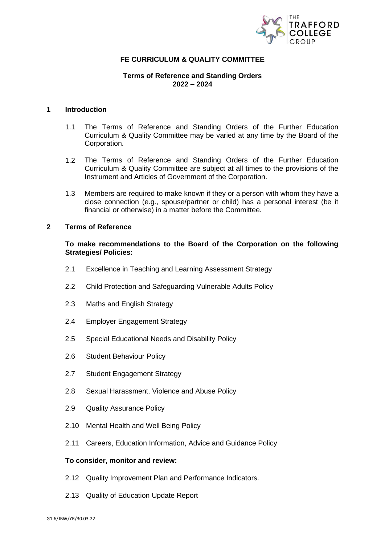

# **FE CURRICULUM & QUALITY COMMITTEE**

# **Terms of Reference and Standing Orders 2022 – 2024**

# **1 Introduction**

- 1.1 The Terms of Reference and Standing Orders of the Further Education Curriculum & Quality Committee may be varied at any time by the Board of the Corporation.
- 1.2 The Terms of Reference and Standing Orders of the Further Education Curriculum & Quality Committee are subject at all times to the provisions of the Instrument and Articles of Government of the Corporation.
- 1.3 Members are required to make known if they or a person with whom they have a close connection (e.g., spouse/partner or child) has a personal interest (be it financial or otherwise) in a matter before the Committee.

#### **2 Terms of Reference**

# **To make recommendations to the Board of the Corporation on the following Strategies/ Policies:**

- 2.1 Excellence in Teaching and Learning Assessment Strategy
- 2.2 Child Protection and Safeguarding Vulnerable Adults Policy
- 2.3 Maths and English Strategy
- 2.4 Employer Engagement Strategy
- 2.5 Special Educational Needs and Disability Policy
- 2.6 Student Behaviour Policy
- 2.7 Student Engagement Strategy
- 2.8 Sexual Harassment, Violence and Abuse Policy
- 2.9 Quality Assurance Policy
- 2.10 Mental Health and Well Being Policy
- 2.11 Careers, Education Information, Advice and Guidance Policy

### **To consider, monitor and review:**

- 2.12 Quality Improvement Plan and Performance Indicators.
- 2.13 Quality of Education Update Report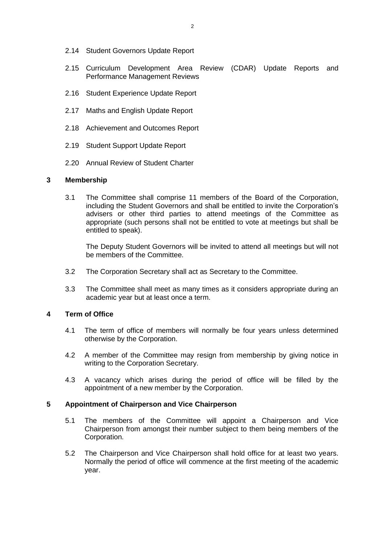- 2.14 Student Governors Update Report
- 2.15 Curriculum Development Area Review (CDAR) Update Reports and Performance Management Reviews
- 2.16 Student Experience Update Report
- 2.17 Maths and English Update Report
- 2.18 Achievement and Outcomes Report
- 2.19 Student Support Update Report
- 2.20 Annual Review of Student Charter

### **3 Membership**

3.1 The Committee shall comprise 11 members of the Board of the Corporation, including the Student Governors and shall be entitled to invite the Corporation's advisers or other third parties to attend meetings of the Committee as appropriate (such persons shall not be entitled to vote at meetings but shall be entitled to speak).

The Deputy Student Governors will be invited to attend all meetings but will not be members of the Committee.

- 3.2 The Corporation Secretary shall act as Secretary to the Committee.
- 3.3 The Committee shall meet as many times as it considers appropriate during an academic year but at least once a term.

# **4 Term of Office**

- 4.1 The term of office of members will normally be four years unless determined otherwise by the Corporation.
- 4.2 A member of the Committee may resign from membership by giving notice in writing to the Corporation Secretary.
- 4.3 A vacancy which arises during the period of office will be filled by the appointment of a new member by the Corporation.

### **5 Appointment of Chairperson and Vice Chairperson**

- 5.1 The members of the Committee will appoint a Chairperson and Vice Chairperson from amongst their number subject to them being members of the Corporation.
- 5.2 The Chairperson and Vice Chairperson shall hold office for at least two years. Normally the period of office will commence at the first meeting of the academic year.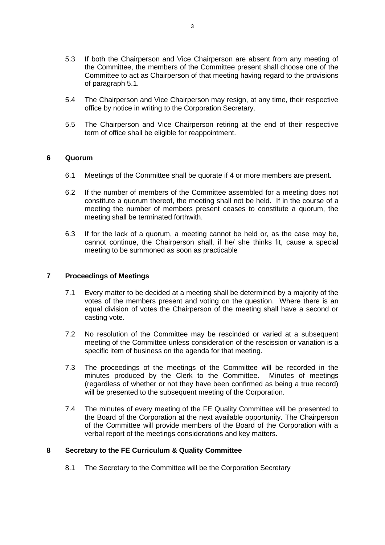- 5.3 If both the Chairperson and Vice Chairperson are absent from any meeting of the Committee, the members of the Committee present shall choose one of the Committee to act as Chairperson of that meeting having regard to the provisions of paragraph 5.1.
- 5.4 The Chairperson and Vice Chairperson may resign, at any time, their respective office by notice in writing to the Corporation Secretary.
- 5.5 The Chairperson and Vice Chairperson retiring at the end of their respective term of office shall be eligible for reappointment.

# **6 Quorum**

- 6.1 Meetings of the Committee shall be quorate if 4 or more members are present.
- 6.2 If the number of members of the Committee assembled for a meeting does not constitute a quorum thereof, the meeting shall not be held. If in the course of a meeting the number of members present ceases to constitute a quorum, the meeting shall be terminated forthwith.
- 6.3 If for the lack of a quorum, a meeting cannot be held or, as the case may be, cannot continue, the Chairperson shall, if he/ she thinks fit, cause a special meeting to be summoned as soon as practicable

# **7 Proceedings of Meetings**

- 7.1 Every matter to be decided at a meeting shall be determined by a majority of the votes of the members present and voting on the question. Where there is an equal division of votes the Chairperson of the meeting shall have a second or casting vote.
- 7.2 No resolution of the Committee may be rescinded or varied at a subsequent meeting of the Committee unless consideration of the rescission or variation is a specific item of business on the agenda for that meeting.
- 7.3 The proceedings of the meetings of the Committee will be recorded in the minutes produced by the Clerk to the Committee. Minutes of meetings (regardless of whether or not they have been confirmed as being a true record) will be presented to the subsequent meeting of the Corporation.
- 7.4 The minutes of every meeting of the FE Quality Committee will be presented to the Board of the Corporation at the next available opportunity. The Chairperson of the Committee will provide members of the Board of the Corporation with a verbal report of the meetings considerations and key matters.

# **8 Secretary to the FE Curriculum & Quality Committee**

8.1 The Secretary to the Committee will be the Corporation Secretary